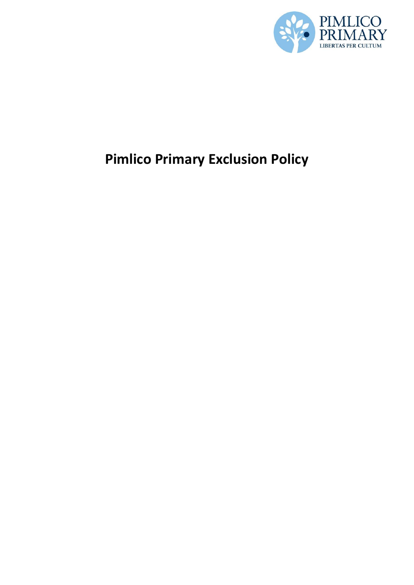

# **Pimlico Primary Exclusion Policy**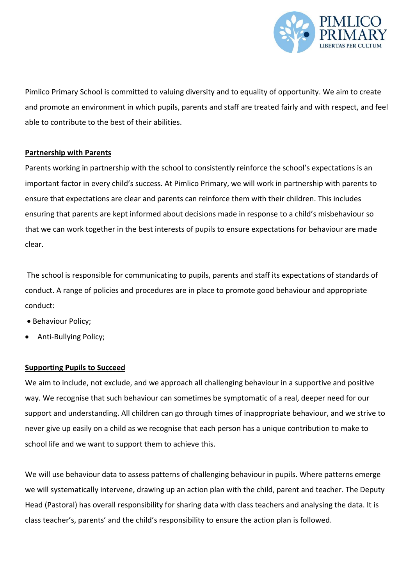

Pimlico Primary School is committed to valuing diversity and to equality of opportunity. We aim to create and promote an environment in which pupils, parents and staff are treated fairly and with respect, and feel able to contribute to the best of their abilities.

## **Partnership with Parents**

Parents working in partnership with the school to consistently reinforce the school's expectations is an important factor in every child's success. At Pimlico Primary, we will work in partnership with parents to ensure that expectations are clear and parents can reinforce them with their children. This includes ensuring that parents are kept informed about decisions made in response to a child's misbehaviour so that we can work together in the best interests of pupils to ensure expectations for behaviour are made clear.

The school is responsible for communicating to pupils, parents and staff its expectations of standards of conduct. A range of policies and procedures are in place to promote good behaviour and appropriate conduct:

- Behaviour Policy;
- Anti-Bullying Policy;

## **Supporting Pupils to Succeed**

We aim to include, not exclude, and we approach all challenging behaviour in a supportive and positive way. We recognise that such behaviour can sometimes be symptomatic of a real, deeper need for our support and understanding. All children can go through times of inappropriate behaviour, and we strive to never give up easily on a child as we recognise that each person has a unique contribution to make to school life and we want to support them to achieve this.

We will use behaviour data to assess patterns of challenging behaviour in pupils. Where patterns emerge we will systematically intervene, drawing up an action plan with the child, parent and teacher. The Deputy Head (Pastoral) has overall responsibility for sharing data with class teachers and analysing the data. It is class teacher's, parents' and the child's responsibility to ensure the action plan is followed.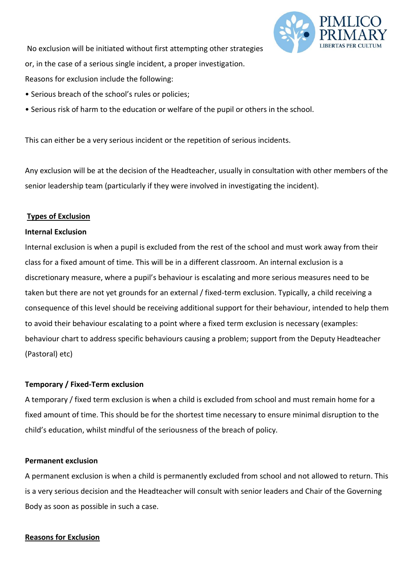

No exclusion will be initiated without first attempting other strategies or, in the case of a serious single incident, a proper investigation. Reasons for exclusion include the following:

- Serious breach of the school's rules or policies;
- Serious risk of harm to the education or welfare of the pupil or others in the school.

This can either be a very serious incident or the repetition of serious incidents.

Any exclusion will be at the decision of the Headteacher, usually in consultation with other members of the senior leadership team (particularly if they were involved in investigating the incident).

## **Types of Exclusion**

## **Internal Exclusion**

Internal exclusion is when a pupil is excluded from the rest of the school and must work away from their class for a fixed amount of time. This will be in a different classroom. An internal exclusion is a discretionary measure, where a pupil's behaviour is escalating and more serious measures need to be taken but there are not yet grounds for an external / fixed-term exclusion. Typically, a child receiving a consequence of this level should be receiving additional support for their behaviour, intended to help them to avoid their behaviour escalating to a point where a fixed term exclusion is necessary (examples: behaviour chart to address specific behaviours causing a problem; support from the Deputy Headteacher (Pastoral) etc)

## **Temporary / Fixed-Term exclusion**

A temporary / fixed term exclusion is when a child is excluded from school and must remain home for a fixed amount of time. This should be for the shortest time necessary to ensure minimal disruption to the child's education, whilst mindful of the seriousness of the breach of policy.

## **Permanent exclusion**

A permanent exclusion is when a child is permanently excluded from school and not allowed to return. This is a very serious decision and the Headteacher will consult with senior leaders and Chair of the Governing Body as soon as possible in such a case.

## **Reasons for Exclusion**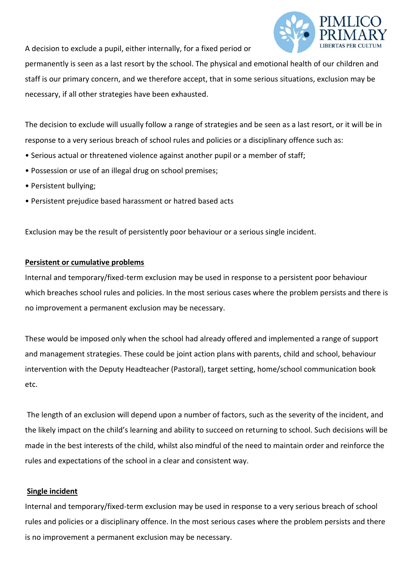A decision to exclude a pupil, either internally, for a fixed period or



permanently is seen as a last resort by the school. The physical and emotional health of our children and staff is our primary concern, and we therefore accept, that in some serious situations, exclusion may be necessary, if all other strategies have been exhausted.

The decision to exclude will usually follow a range of strategies and be seen as a last resort, or it will be in response to a very serious breach of school rules and policies or a disciplinary offence such as:

- Serious actual or threatened violence against another pupil or a member of staff;
- Possession or use of an illegal drug on school premises;
- Persistent bullying;
- Persistent prejudice based harassment or hatred based acts

Exclusion may be the result of persistently poor behaviour or a serious single incident.

## **Persistent or cumulative problems**

Internal and temporary/fixed-term exclusion may be used in response to a persistent poor behaviour which breaches school rules and policies. In the most serious cases where the problem persists and there is no improvement a permanent exclusion may be necessary.

These would be imposed only when the school had already offered and implemented a range of support and management strategies. These could be joint action plans with parents, child and school, behaviour intervention with the Deputy Headteacher (Pastoral), target setting, home/school communication book etc.

The length of an exclusion will depend upon a number of factors, such as the severity of the incident, and the likely impact on the child's learning and ability to succeed on returning to school. Such decisions will be made in the best interests of the child, whilst also mindful of the need to maintain order and reinforce the rules and expectations of the school in a clear and consistent way.

## **Single incident**

Internal and temporary/fixed-term exclusion may be used in response to a very serious breach of school rules and policies or a disciplinary offence. In the most serious cases where the problem persists and there is no improvement a permanent exclusion may be necessary.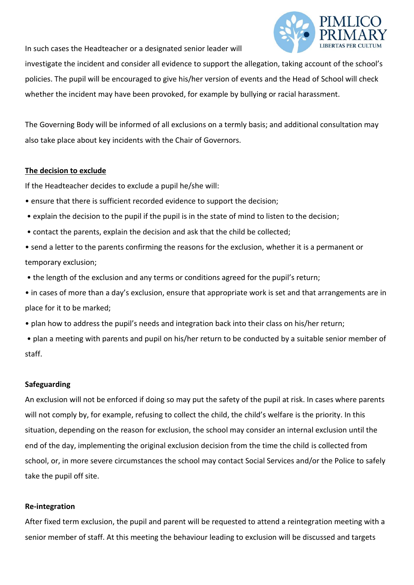In such cases the Headteacher or a designated senior leader will



investigate the incident and consider all evidence to support the allegation, taking account of the school's policies. The pupil will be encouraged to give his/her version of events and the Head of School will check whether the incident may have been provoked, for example by bullying or racial harassment.

The Governing Body will be informed of all exclusions on a termly basis; and additional consultation may also take place about key incidents with the Chair of Governors.

## **The decision to exclude**

If the Headteacher decides to exclude a pupil he/she will:

- ensure that there is sufficient recorded evidence to support the decision;
- explain the decision to the pupil if the pupil is in the state of mind to listen to the decision;
- contact the parents, explain the decision and ask that the child be collected;
- send a letter to the parents confirming the reasons for the exclusion, whether it is a permanent or temporary exclusion;
- the length of the exclusion and any terms or conditions agreed for the pupil's return;
- in cases of more than a day's exclusion, ensure that appropriate work is set and that arrangements are in place for it to be marked;
- plan how to address the pupil's needs and integration back into their class on his/her return;
- plan a meeting with parents and pupil on his/her return to be conducted by a suitable senior member of staff.

## **Safeguarding**

An exclusion will not be enforced if doing so may put the safety of the pupil at risk. In cases where parents will not comply by, for example, refusing to collect the child, the child's welfare is the priority. In this situation, depending on the reason for exclusion, the school may consider an internal exclusion until the end of the day, implementing the original exclusion decision from the time the child is collected from school, or, in more severe circumstances the school may contact Social Services and/or the Police to safely take the pupil off site.

## **Re-integration**

After fixed term exclusion, the pupil and parent will be requested to attend a reintegration meeting with a senior member of staff. At this meeting the behaviour leading to exclusion will be discussed and targets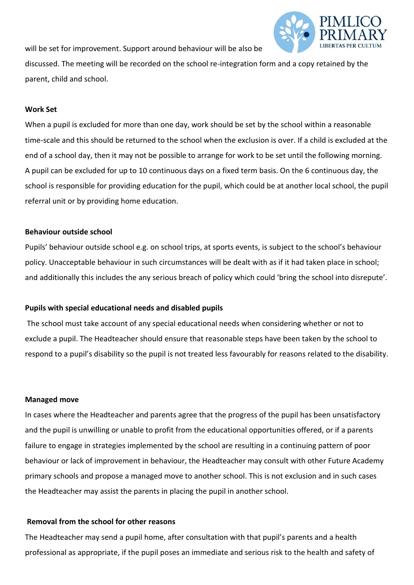will be set for improvement. Support around behaviour will be also be



discussed. The meeting will be recorded on the school re-integration form and a copy retained by the parent, child and school.

## **Work Set**

When a pupil is excluded for more than one day, work should be set by the school within a reasonable time-scale and this should be returned to the school when the exclusion is over. If a child is excluded at the end of a school day, then it may not be possible to arrange for work to be set until the following morning. A pupil can be excluded for up to 10 continuous days on a fixed term basis. On the 6 continuous day, the school is responsible for providing education for the pupil, which could be at another local school, the pupil referral unit or by providing home education.

## **Behaviour outside school**

Pupils' behaviour outside school e.g. on school trips, at sports events, is subject to the school's behaviour policy. Unacceptable behaviour in such circumstances will be dealt with as if it had taken place in school; and additionally this includes the any serious breach of policy which could 'bring the school into disrepute'.

## **Pupils with special educational needs and disabled pupils**

The school must take account of any special educational needs when considering whether or not to exclude a pupil. The Headteacher should ensure that reasonable steps have been taken by the school to respond to a pupil's disability so the pupil is not treated less favourably for reasons related to the disability.

#### **Managed move**

In cases where the Headteacher and parents agree that the progress of the pupil has been unsatisfactory and the pupil is unwilling or unable to profit from the educational opportunities offered, or if a parents failure to engage in strategies implemented by the school are resulting in a continuing pattern of poor behaviour or lack of improvement in behaviour, the Headteacher may consult with other Future Academy primary schools and propose a managed move to another school. This is not exclusion and in such cases the Headteacher may assist the parents in placing the pupil in another school.

## **Removal from the school for other reasons**

The Headteacher may send a pupil home, after consultation with that pupil's parents and a health professional as appropriate, if the pupil poses an immediate and serious risk to the health and safety of